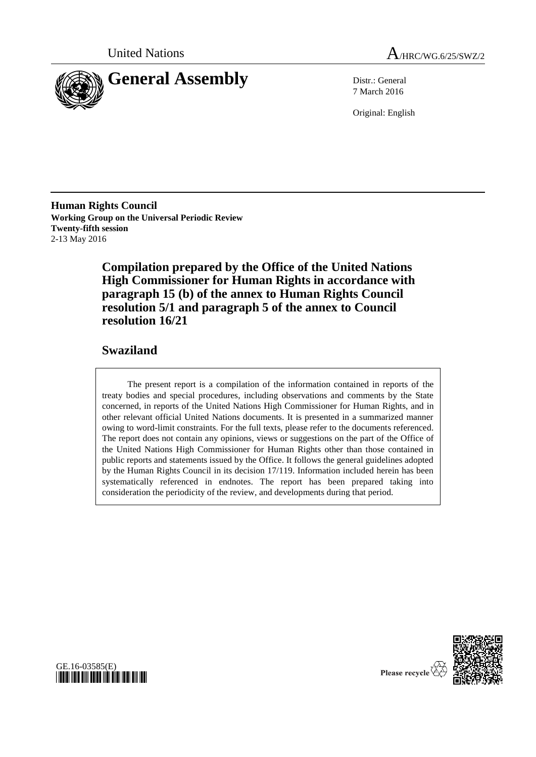



7 March 2016

Original: English

**Human Rights Council Working Group on the Universal Periodic Review Twenty-fifth session** 2-13 May 2016

> **Compilation prepared by the Office of the United Nations High Commissioner for Human Rights in accordance with paragraph 15 (b) of the annex to Human Rights Council resolution 5/1 and paragraph 5 of the annex to Council resolution 16/21**

# **Swaziland**

The present report is a compilation of the information contained in reports of the treaty bodies and special procedures, including observations and comments by the State concerned, in reports of the United Nations High Commissioner for Human Rights, and in other relevant official United Nations documents. It is presented in a summarized manner owing to word-limit constraints. For the full texts, please refer to the documents referenced. The report does not contain any opinions, views or suggestions on the part of the Office of the United Nations High Commissioner for Human Rights other than those contained in public reports and statements issued by the Office. It follows the general guidelines adopted by the Human Rights Council in its decision 17/119. Information included herein has been systematically referenced in endnotes. The report has been prepared taking into consideration the periodicity of the review, and developments during that period.





Please recycle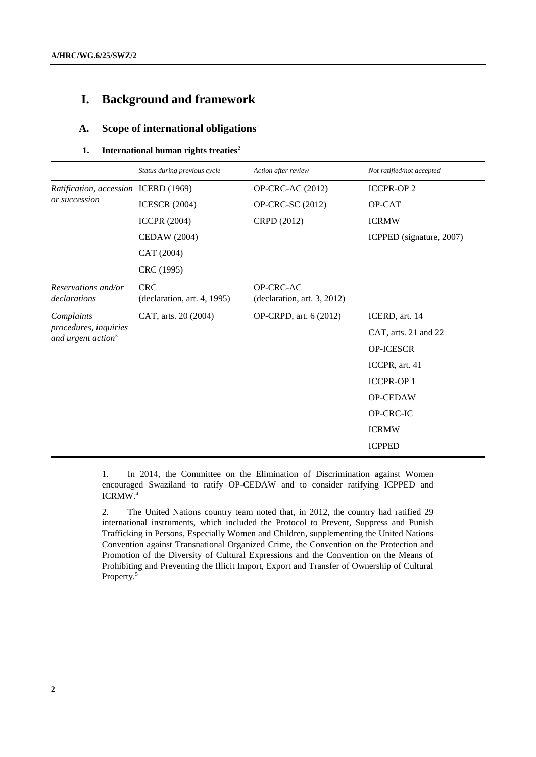## **I. Background and framework**

### **A. Scope of international obligations**<sup>1</sup>

#### **1.** International human rights treaties<sup>2</sup>

|                                                         | Status during previous cycle              | Action after review                      | Not ratified/not accepted |
|---------------------------------------------------------|-------------------------------------------|------------------------------------------|---------------------------|
| Ratification, accession ICERD (1969)<br>or succession   |                                           | <b>OP-CRC-AC (2012)</b>                  | <b>ICCPR-OP 2</b>         |
|                                                         | <b>ICESCR (2004)</b>                      | OP-CRC-SC (2012)                         | OP-CAT                    |
|                                                         | <b>ICCPR (2004)</b>                       | CRPD (2012)                              | <b>ICRMW</b>              |
|                                                         | <b>CEDAW</b> (2004)                       |                                          | ICPPED (signature, 2007)  |
|                                                         | CAT (2004)                                |                                          |                           |
|                                                         | CRC (1995)                                |                                          |                           |
| Reservations and/or<br>declarations                     | <b>CRC</b><br>(declaration, art. 4, 1995) | OP-CRC-AC<br>(declaration, art. 3, 2012) |                           |
| Complaints                                              | CAT, arts. 20 (2004)                      | OP-CRPD, art. 6 (2012)                   | ICERD, art. 14            |
| procedures, inquiries<br>and urgent action <sup>3</sup> |                                           |                                          | CAT, arts. 21 and 22      |
|                                                         |                                           |                                          | OP-ICESCR                 |
|                                                         |                                           |                                          | ICCPR, art. 41            |
|                                                         |                                           |                                          | <b>ICCPR-OP1</b>          |
|                                                         |                                           |                                          | OP-CEDAW                  |
|                                                         |                                           |                                          | OP-CRC-IC                 |
|                                                         |                                           |                                          | <b>ICRMW</b>              |
|                                                         |                                           |                                          | <b>ICPPED</b>             |

1. In 2014, the Committee on the Elimination of Discrimination against Women encouraged Swaziland to ratify OP-CEDAW and to consider ratifying ICPPED and ICRMW.<sup>4</sup>

2. The United Nations country team noted that, in 2012, the country had ratified 29 international instruments, which included the Protocol to Prevent, Suppress and Punish Trafficking in Persons, Especially Women and Children, supplementing the United Nations Convention against Transnational Organized Crime, the Convention on the Protection and Promotion of the Diversity of Cultural Expressions and the Convention on the Means of Prohibiting and Preventing the Illicit Import, Export and Transfer of Ownership of Cultural Property.<sup>5</sup>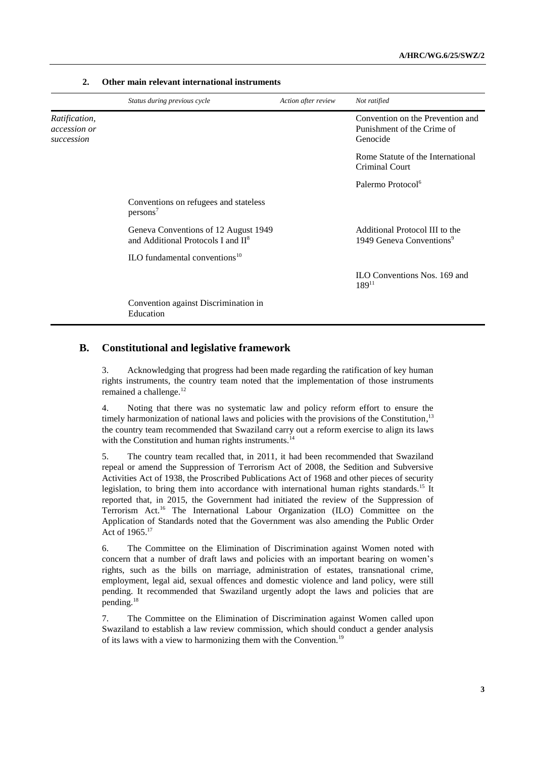|                                                    | Status during previous cycle                                                  | Action after review | Not ratified                                                               |
|----------------------------------------------------|-------------------------------------------------------------------------------|---------------------|----------------------------------------------------------------------------|
| Ratification,<br><i>accession or</i><br>succession |                                                                               |                     | Convention on the Prevention and<br>Punishment of the Crime of<br>Genocide |
|                                                    |                                                                               |                     | Rome Statute of the International<br>Criminal Court                        |
|                                                    |                                                                               |                     | Palermo Protocol <sup>6</sup>                                              |
|                                                    | Conventions on refugees and stateless<br>$persons^7$                          |                     |                                                                            |
|                                                    | Geneva Conventions of 12 August 1949<br>and Additional Protocols I and $II^8$ |                     | Additional Protocol III to the<br>1949 Geneva Conventions <sup>9</sup>     |
|                                                    | $\rm ILO$ fundamental conventions <sup>10</sup>                               |                     |                                                                            |
|                                                    |                                                                               |                     | ILO Conventions Nos. 169 and<br>$189^{11}$                                 |
|                                                    | Convention against Discrimination in<br>Education                             |                     |                                                                            |

#### **2. Other main relevant international instruments**

#### **B. Constitutional and legislative framework**

3. Acknowledging that progress had been made regarding the ratification of key human rights instruments, the country team noted that the implementation of those instruments remained a challenge.<sup>12</sup>

4. Noting that there was no systematic law and policy reform effort to ensure the timely harmonization of national laws and policies with the provisions of the Constitution,<sup>13</sup> the country team recommended that Swaziland carry out a reform exercise to align its laws with the Constitution and human rights instruments.<sup>14</sup>

5. The country team recalled that, in 2011, it had been recommended that Swaziland repeal or amend the Suppression of Terrorism Act of 2008, the Sedition and Subversive Activities Act of 1938, the Proscribed Publications Act of 1968 and other pieces of security legislation, to bring them into accordance with international human rights standards.<sup>15</sup> It reported that, in 2015, the Government had initiated the review of the Suppression of Terrorism Act.<sup>16</sup> The International Labour Organization (ILO) Committee on the Application of Standards noted that the Government was also amending the Public Order Act of 1965. 17

6. The Committee on the Elimination of Discrimination against Women noted with concern that a number of draft laws and policies with an important bearing on women's rights, such as the bills on marriage, administration of estates, transnational crime, employment, legal aid, sexual offences and domestic violence and land policy, were still pending. It recommended that Swaziland urgently adopt the laws and policies that are pending.<sup>18</sup>

7. The Committee on the Elimination of Discrimination against Women called upon Swaziland to establish a law review commission, which should conduct a gender analysis of its laws with a view to harmonizing them with the Convention.<sup>19</sup>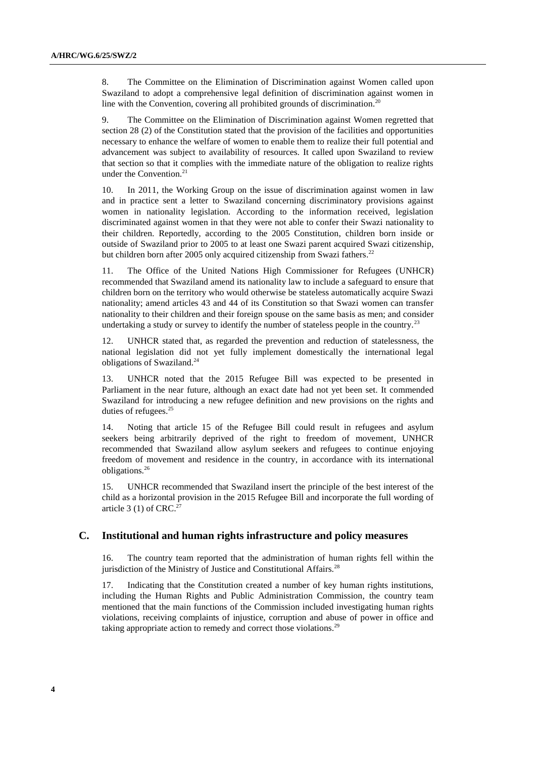8. The Committee on the Elimination of Discrimination against Women called upon Swaziland to adopt a comprehensive legal definition of discrimination against women in line with the Convention, covering all prohibited grounds of discrimination.<sup>20</sup>

9. The Committee on the Elimination of Discrimination against Women regretted that section 28 (2) of the Constitution stated that the provision of the facilities and opportunities necessary to enhance the welfare of women to enable them to realize their full potential and advancement was subject to availability of resources. It called upon Swaziland to review that section so that it complies with the immediate nature of the obligation to realize rights under the Convention. $21$ 

10. In 2011, the Working Group on the issue of discrimination against women in law and in practice sent a letter to Swaziland concerning discriminatory provisions against women in nationality legislation. According to the information received, legislation discriminated against women in that they were not able to confer their Swazi nationality to their children. Reportedly, according to the 2005 Constitution, children born inside or outside of Swaziland prior to 2005 to at least one Swazi parent acquired Swazi citizenship, but children born after 2005 only acquired citizenship from Swazi fathers.<sup>22</sup>

11. The Office of the United Nations High Commissioner for Refugees (UNHCR) recommended that Swaziland amend its nationality law to include a safeguard to ensure that children born on the territory who would otherwise be stateless automatically acquire Swazi nationality; amend articles 43 and 44 of its Constitution so that Swazi women can transfer nationality to their children and their foreign spouse on the same basis as men; and consider undertaking a study or survey to identify the number of stateless people in the country.<sup>23</sup>

12. UNHCR stated that, as regarded the prevention and reduction of statelessness, the national legislation did not yet fully implement domestically the international legal obligations of Swaziland. 24

13. UNHCR noted that the 2015 Refugee Bill was expected to be presented in Parliament in the near future, although an exact date had not yet been set. It commended Swaziland for introducing a new refugee definition and new provisions on the rights and duties of refugees. 25

14. Noting that article 15 of the Refugee Bill could result in refugees and asylum seekers being arbitrarily deprived of the right to freedom of movement, UNHCR recommended that Swaziland allow asylum seekers and refugees to continue enjoying freedom of movement and residence in the country, in accordance with its international obligations. 26

15. UNHCR recommended that Swaziland insert the principle of the best interest of the child as a horizontal provision in the 2015 Refugee Bill and incorporate the full wording of article  $3(1)$  of CRC.<sup>27</sup>

### **C. Institutional and human rights infrastructure and policy measures**

16. The country team reported that the administration of human rights fell within the jurisdiction of the Ministry of Justice and Constitutional Affairs.<sup>28</sup>

17. Indicating that the Constitution created a number of key human rights institutions, including the Human Rights and Public Administration Commission, the country team mentioned that the main functions of the Commission included investigating human rights violations, receiving complaints of injustice, corruption and abuse of power in office and taking appropriate action to remedy and correct those violations.<sup>29</sup>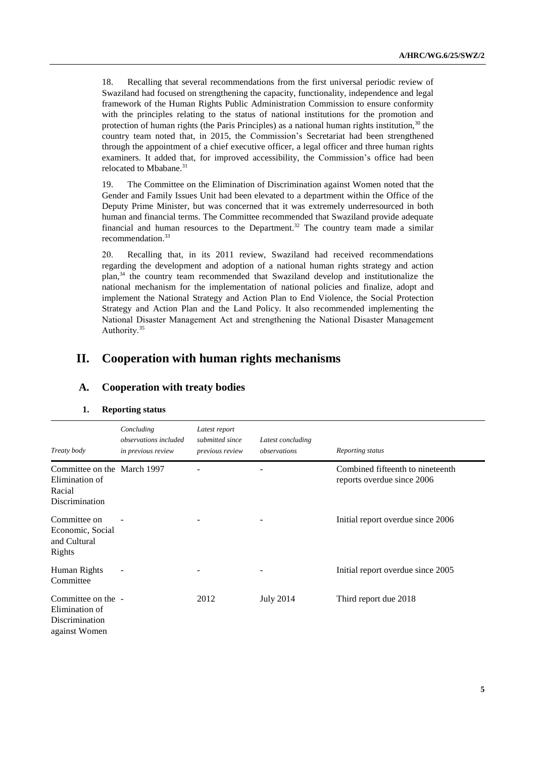18. Recalling that several recommendations from the first universal periodic review of Swaziland had focused on strengthening the capacity, functionality, independence and legal framework of the Human Rights Public Administration Commission to ensure conformity with the principles relating to the status of national institutions for the promotion and protection of human rights (the Paris Principles) as a national human rights institution,<sup>30</sup> the country team noted that, in 2015, the Commission's Secretariat had been strengthened through the appointment of a chief executive officer, a legal officer and three human rights examiners. It added that, for improved accessibility, the Commission's office had been relocated to Mbabane.<sup>31</sup>

19. The Committee on the Elimination of Discrimination against Women noted that the Gender and Family Issues Unit had been elevated to a department within the Office of the Deputy Prime Minister, but was concerned that it was extremely underresourced in both human and financial terms. The Committee recommended that Swaziland provide adequate financial and human resources to the Department.<sup>32</sup> The country team made a similar recommendation. 33

20. Recalling that, in its 2011 review, Swaziland had received recommendations regarding the development and adoption of a national human rights strategy and action plan,<sup>34</sup> the country team recommended that Swaziland develop and institutionalize the national mechanism for the implementation of national policies and finalize, adopt and implement the National Strategy and Action Plan to End Violence, the Social Protection Strategy and Action Plan and the Land Policy. It also recommended implementing the National Disaster Management Act and strengthening the National Disaster Management Authority.<sup>35</sup>

# **II. Cooperation with human rights mechanisms**

## **A. Cooperation with treaty bodies**

### **1. Reporting status**

| Treaty body                                                                      | Concluding<br>observations included<br>in previous review | Latest report<br>submitted since<br>previous review | Latest concluding<br>observations | Reporting status                                               |
|----------------------------------------------------------------------------------|-----------------------------------------------------------|-----------------------------------------------------|-----------------------------------|----------------------------------------------------------------|
| Committee on the March 1997<br>Elimination of<br>Racial<br><b>Discrimination</b> |                                                           |                                                     |                                   | Combined fifteenth to nineteenth<br>reports overdue since 2006 |
| Committee on<br>Economic, Social<br>and Cultural<br>Rights                       |                                                           |                                                     |                                   | Initial report overdue since 2006                              |
| Human Rights<br>Committee                                                        |                                                           |                                                     |                                   | Initial report overdue since 2005                              |
| Committee on the -<br>Elimination of<br>Discrimination<br>against Women          |                                                           | 2012                                                | <b>July 2014</b>                  | Third report due 2018                                          |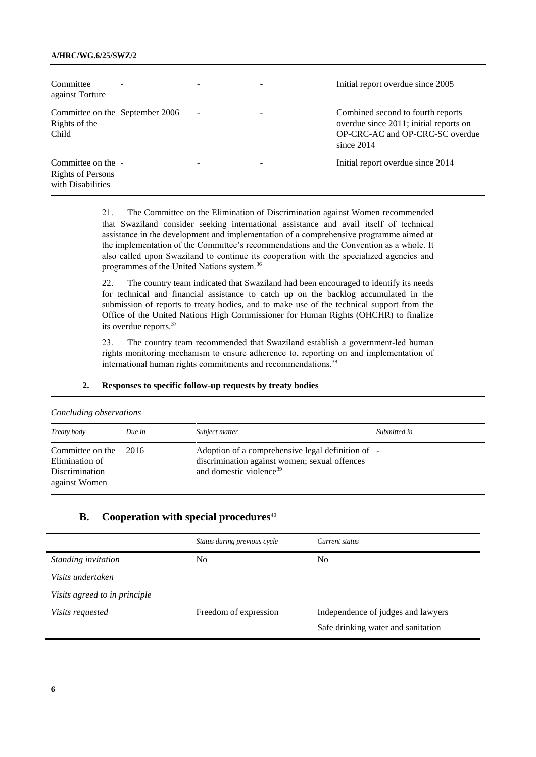#### **A/HRC/WG.6/25/SWZ/2**

| Committee<br>against Torture                                        | $\overline{\phantom{a}}$ |                          |                          | Initial report overdue since 2005                                                                                              |
|---------------------------------------------------------------------|--------------------------|--------------------------|--------------------------|--------------------------------------------------------------------------------------------------------------------------------|
| Committee on the September 2006<br>Rights of the<br>Child           |                          | $\overline{\phantom{a}}$ | ۰                        | Combined second to fourth reports<br>overdue since 2011; initial reports on<br>OP-CRC-AC and OP-CRC-SC overdue<br>since $2014$ |
| Committee on the -<br><b>Rights of Persons</b><br>with Disabilities |                          |                          | $\overline{\phantom{0}}$ | Initial report overdue since 2014                                                                                              |

21. The Committee on the Elimination of Discrimination against Women recommended that Swaziland consider seeking international assistance and avail itself of technical assistance in the development and implementation of a comprehensive programme aimed at the implementation of the Committee's recommendations and the Convention as a whole. It also called upon Swaziland to continue its cooperation with the specialized agencies and programmes of the United Nations system.<sup>36</sup>

22. The country team indicated that Swaziland had been encouraged to identify its needs for technical and financial assistance to catch up on the backlog accumulated in the submission of reports to treaty bodies, and to make use of the technical support from the Office of the United Nations High Commissioner for Human Rights (OHCHR) to finalize its overdue reports.<sup>37</sup>

23. The country team recommended that Swaziland establish a government-led human rights monitoring mechanism to ensure adherence to, reporting on and implementation of international human rights commitments and recommendations.<sup>38</sup>

#### **2. Responses to specific follow-up requests by treaty bodies**

#### *Concluding observations*

| Treaty body                                                           | Due in | Subject matter                                                                                                                            | Submitted in |
|-----------------------------------------------------------------------|--------|-------------------------------------------------------------------------------------------------------------------------------------------|--------------|
| Committee on the<br>Elimination of<br>Discrimination<br>against Women | 2016   | Adoption of a comprehensive legal definition of -<br>discrimination against women; sexual offences<br>and domestic violence <sup>39</sup> |              |

#### **B.** Cooperation with special procedures<sup>40</sup>

|                               | Status during previous cycle | Current status                     |
|-------------------------------|------------------------------|------------------------------------|
| Standing invitation           | No                           | No                                 |
| Visits undertaken             |                              |                                    |
| Visits agreed to in principle |                              |                                    |
| <i>Visits requested</i>       | Freedom of expression        | Independence of judges and lawyers |
|                               |                              | Safe drinking water and sanitation |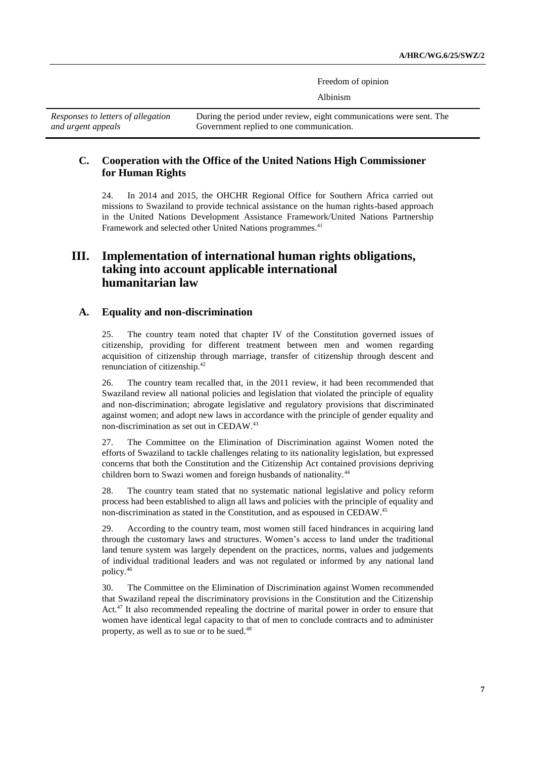Freedom of opinion

Albinism

## **C. Cooperation with the Office of the United Nations High Commissioner for Human Rights**

24. In 2014 and 2015, the OHCHR Regional Office for Southern Africa carried out missions to Swaziland to provide technical assistance on the human rights-based approach in the United Nations Development Assistance Framework/United Nations Partnership Framework and selected other United Nations programmes.<sup>41</sup>

# **III. Implementation of international human rights obligations, taking into account applicable international humanitarian law**

### **A. Equality and non-discrimination**

25. The country team noted that chapter IV of the Constitution governed issues of citizenship, providing for different treatment between men and women regarding acquisition of citizenship through marriage, transfer of citizenship through descent and renunciation of citizenship.<sup>42</sup>

26. The country team recalled that, in the 2011 review, it had been recommended that Swaziland review all national policies and legislation that violated the principle of equality and non-discrimination; abrogate legislative and regulatory provisions that discriminated against women; and adopt new laws in accordance with the principle of gender equality and non-discrimination as set out in CEDAW. 43

27. The Committee on the Elimination of Discrimination against Women noted the efforts of Swaziland to tackle challenges relating to its nationality legislation, but expressed concerns that both the Constitution and the Citizenship Act contained provisions depriving children born to Swazi women and foreign husbands of nationality.<sup>44</sup>

28. The country team stated that no systematic national legislative and policy reform process had been established to align all laws and policies with the principle of equality and non-discrimination as stated in the Constitution, and as espoused in CEDAW. 45

29. According to the country team, most women still faced hindrances in acquiring land through the customary laws and structures. Women's access to land under the traditional land tenure system was largely dependent on the practices, norms, values and judgements of individual traditional leaders and was not regulated or informed by any national land policy. 46

30. The Committee on the Elimination of Discrimination against Women recommended that Swaziland repeal the discriminatory provisions in the Constitution and the Citizenship Act.<sup>47</sup> It also recommended repealing the doctrine of marital power in order to ensure that women have identical legal capacity to that of men to conclude contracts and to administer property, as well as to sue or to be sued.<sup>48</sup>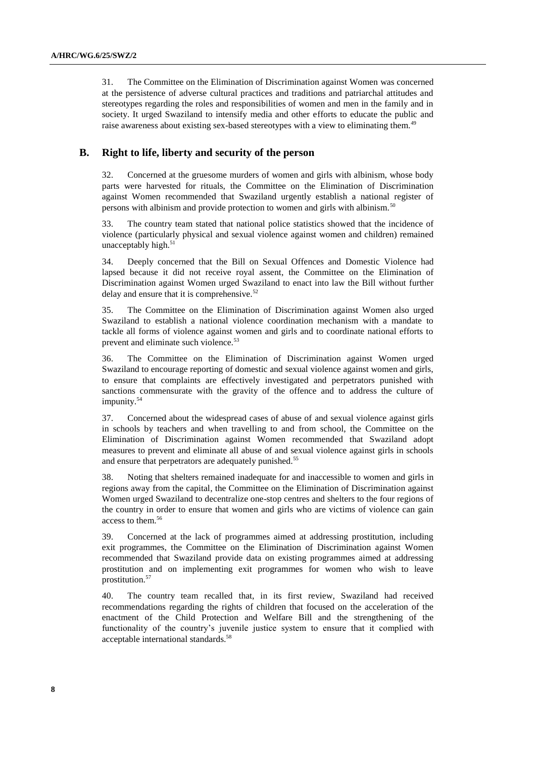31. The Committee on the Elimination of Discrimination against Women was concerned at the persistence of adverse cultural practices and traditions and patriarchal attitudes and stereotypes regarding the roles and responsibilities of women and men in the family and in society. It urged Swaziland to intensify media and other efforts to educate the public and raise awareness about existing sex-based stereotypes with a view to eliminating them.<sup>49</sup>

### **B. Right to life, liberty and security of the person**

32. Concerned at the gruesome murders of women and girls with albinism, whose body parts were harvested for rituals, the Committee on the Elimination of Discrimination against Women recommended that Swaziland urgently establish a national register of persons with albinism and provide protection to women and girls with albinism.<sup>50</sup>

33. The country team stated that national police statistics showed that the incidence of violence (particularly physical and sexual violence against women and children) remained unacceptably high. $51$ 

34. Deeply concerned that the Bill on Sexual Offences and Domestic Violence had lapsed because it did not receive royal assent, the Committee on the Elimination of Discrimination against Women urged Swaziland to enact into law the Bill without further delay and ensure that it is comprehensive. $52$ 

35. The Committee on the Elimination of Discrimination against Women also urged Swaziland to establish a national violence coordination mechanism with a mandate to tackle all forms of violence against women and girls and to coordinate national efforts to prevent and eliminate such violence.<sup>53</sup>

36. The Committee on the Elimination of Discrimination against Women urged Swaziland to encourage reporting of domestic and sexual violence against women and girls, to ensure that complaints are effectively investigated and perpetrators punished with sanctions commensurate with the gravity of the offence and to address the culture of impunity.<sup>54</sup>

37. Concerned about the widespread cases of abuse of and sexual violence against girls in schools by teachers and when travelling to and from school, the Committee on the Elimination of Discrimination against Women recommended that Swaziland adopt measures to prevent and eliminate all abuse of and sexual violence against girls in schools and ensure that perpetrators are adequately punished.<sup>55</sup>

38. Noting that shelters remained inadequate for and inaccessible to women and girls in regions away from the capital, the Committee on the Elimination of Discrimination against Women urged Swaziland to decentralize one-stop centres and shelters to the four regions of the country in order to ensure that women and girls who are victims of violence can gain access to them.<sup>56</sup>

39. Concerned at the lack of programmes aimed at addressing prostitution, including exit programmes, the Committee on the Elimination of Discrimination against Women recommended that Swaziland provide data on existing programmes aimed at addressing prostitution and on implementing exit programmes for women who wish to leave prostitution.<sup>57</sup>

40. The country team recalled that, in its first review, Swaziland had received recommendations regarding the rights of children that focused on the acceleration of the enactment of the Child Protection and Welfare Bill and the strengthening of the functionality of the country's juvenile justice system to ensure that it complied with acceptable international standards.58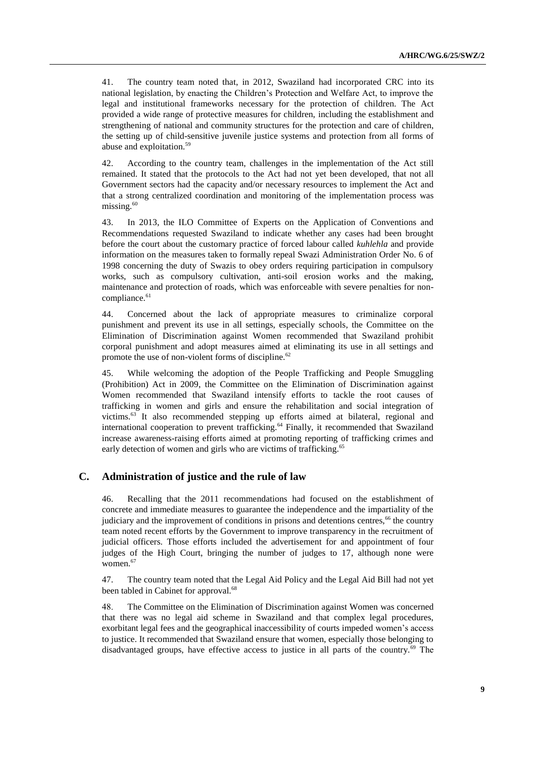41. The country team noted that, in 2012, Swaziland had incorporated CRC into its national legislation, by enacting the Children's Protection and Welfare Act, to improve the legal and institutional frameworks necessary for the protection of children. The Act provided a wide range of protective measures for children, including the establishment and strengthening of national and community structures for the protection and care of children, the setting up of child-sensitive juvenile justice systems and protection from all forms of abuse and exploitation. 59

42. According to the country team, challenges in the implementation of the Act still remained. It stated that the protocols to the Act had not yet been developed, that not all Government sectors had the capacity and/or necessary resources to implement the Act and that a strong centralized coordination and monitoring of the implementation process was missing. $60$ 

43. In 2013, the ILO Committee of Experts on the Application of Conventions and Recommendations requested Swaziland to indicate whether any cases had been brought before the court about the customary practice of forced labour called *kuhlehla* and provide information on the measures taken to formally repeal Swazi Administration Order No. 6 of 1998 concerning the duty of Swazis to obey orders requiring participation in compulsory works, such as compulsory cultivation, anti-soil erosion works and the making, maintenance and protection of roads, which was enforceable with severe penalties for non $compliance.<sup>61</sup>$ 

44. Concerned about the lack of appropriate measures to criminalize corporal punishment and prevent its use in all settings, especially schools, the Committee on the Elimination of Discrimination against Women recommended that Swaziland prohibit corporal punishment and adopt measures aimed at eliminating its use in all settings and promote the use of non-violent forms of discipline.<sup>62</sup>

45. While welcoming the adoption of the People Trafficking and People Smuggling (Prohibition) Act in 2009, the Committee on the Elimination of Discrimination against Women recommended that Swaziland intensify efforts to tackle the root causes of trafficking in women and girls and ensure the rehabilitation and social integration of victims.<sup>63</sup> It also recommended stepping up efforts aimed at bilateral, regional and international cooperation to prevent trafficking. <sup>64</sup> Finally, it recommended that Swaziland increase awareness-raising efforts aimed at promoting reporting of trafficking crimes and early detection of women and girls who are victims of trafficking.<sup>65</sup>

### **C. Administration of justice and the rule of law**

46. Recalling that the 2011 recommendations had focused on the establishment of concrete and immediate measures to guarantee the independence and the impartiality of the judiciary and the improvement of conditions in prisons and detentions centres,<sup>66</sup> the country team noted recent efforts by the Government to improve transparency in the recruitment of judicial officers. Those efforts included the advertisement for and appointment of four judges of the High Court, bringing the number of judges to 17, although none were women. 67

47. The country team noted that the Legal Aid Policy and the Legal Aid Bill had not yet been tabled in Cabinet for approval.<sup>68</sup>

48. The Committee on the Elimination of Discrimination against Women was concerned that there was no legal aid scheme in Swaziland and that complex legal procedures, exorbitant legal fees and the geographical inaccessibility of courts impeded women's access to justice. It recommended that Swaziland ensure that women, especially those belonging to disadvantaged groups, have effective access to justice in all parts of the country.<sup>69</sup> The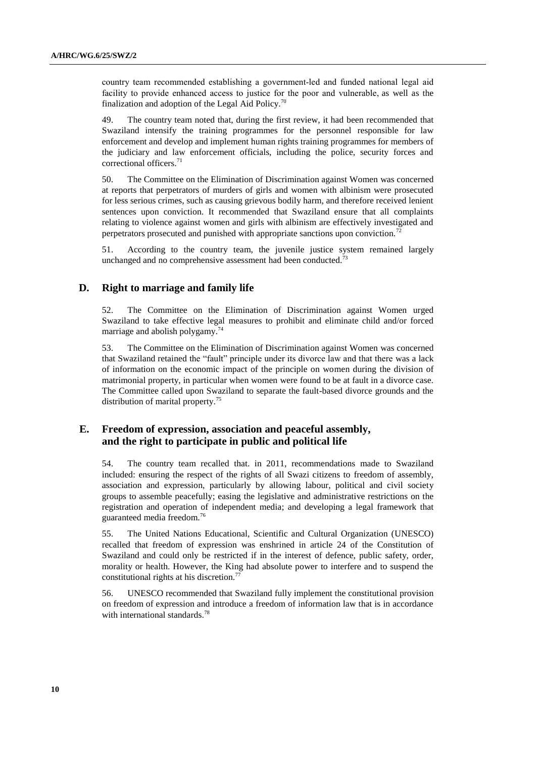country team recommended establishing a government-led and funded national legal aid facility to provide enhanced access to justice for the poor and vulnerable, as well as the finalization and adoption of the Legal Aid Policy.<sup>70</sup>

49. The country team noted that, during the first review, it had been recommended that Swaziland intensify the training programmes for the personnel responsible for law enforcement and develop and implement human rights training programmes for members of the judiciary and law enforcement officials, including the police, security forces and correctional officers.<sup>71</sup>

50. The Committee on the Elimination of Discrimination against Women was concerned at reports that perpetrators of murders of girls and women with albinism were prosecuted for less serious crimes, such as causing grievous bodily harm, and therefore received lenient sentences upon conviction. It recommended that Swaziland ensure that all complaints relating to violence against women and girls with albinism are effectively investigated and perpetrators prosecuted and punished with appropriate sanctions upon conviction.<sup>72</sup>

51. According to the country team, the juvenile justice system remained largely unchanged and no comprehensive assessment had been conducted.<sup>73</sup>

#### **D. Right to marriage and family life**

52. The Committee on the Elimination of Discrimination against Women urged Swaziland to take effective legal measures to prohibit and eliminate child and/or forced marriage and abolish polygamy.<sup>74</sup>

53. The Committee on the Elimination of Discrimination against Women was concerned that Swaziland retained the "fault" principle under its divorce law and that there was a lack of information on the economic impact of the principle on women during the division of matrimonial property, in particular when women were found to be at fault in a divorce case. The Committee called upon Swaziland to separate the fault-based divorce grounds and the distribution of marital property.<sup>75</sup>

### **E. Freedom of expression, association and peaceful assembly, and the right to participate in public and political life**

54. The country team recalled that. in 2011, recommendations made to Swaziland included: ensuring the respect of the rights of all Swazi citizens to freedom of assembly, association and expression, particularly by allowing labour, political and civil society groups to assemble peacefully; easing the legislative and administrative restrictions on the registration and operation of independent media; and developing a legal framework that guaranteed media freedom. 76

55. The United Nations Educational, Scientific and Cultural Organization (UNESCO) recalled that freedom of expression was enshrined in article 24 of the Constitution of Swaziland and could only be restricted if in the interest of defence, public safety, order, morality or health. However, the King had absolute power to interfere and to suspend the constitutional rights at his discretion.<sup>77</sup>

56. UNESCO recommended that Swaziland fully implement the constitutional provision on freedom of expression and introduce a freedom of information law that is in accordance with international standards.<sup>78</sup>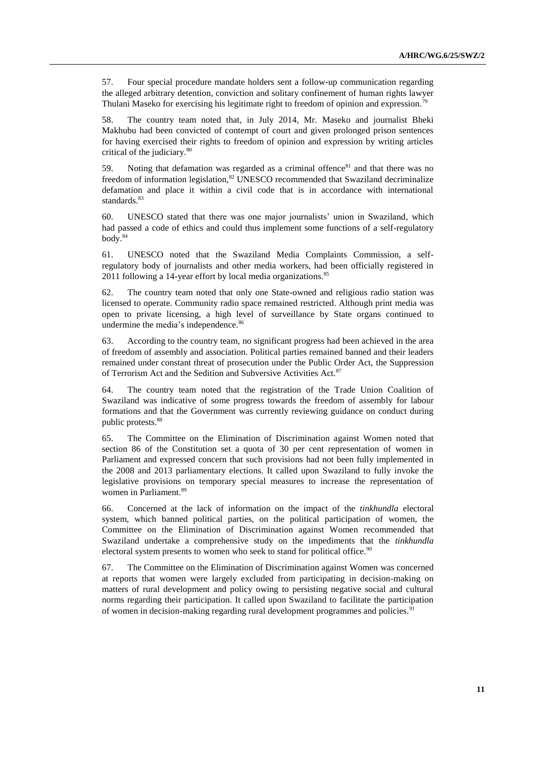57. Four special procedure mandate holders sent a follow-up communication regarding the alleged arbitrary detention, conviction and solitary confinement of human rights lawyer Thulani Maseko for exercising his legitimate right to freedom of opinion and expression.<sup>79</sup>

58. The country team noted that, in July 2014, Mr. Maseko and journalist Bheki Makhubu had been convicted of contempt of court and given prolonged prison sentences for having exercised their rights to freedom of opinion and expression by writing articles critical of the judiciary.<sup>80</sup>

59. Noting that defamation was regarded as a criminal offence<sup>81</sup> and that there was no freedom of information legislation,<sup>82</sup> UNESCO recommended that Swaziland decriminalize defamation and place it within a civil code that is in accordance with international standards.<sup>83</sup>

60. UNESCO stated that there was one major journalists' union in Swaziland, which had passed a code of ethics and could thus implement some functions of a self-regulatory body.<sup>84</sup>

61. UNESCO noted that the Swaziland Media Complaints Commission, a selfregulatory body of journalists and other media workers, had been officially registered in 2011 following a 14-year effort by local media organizations. $85$ 

62. The country team noted that only one State-owned and religious radio station was licensed to operate. Community radio space remained restricted. Although print media was open to private licensing, a high level of surveillance by State organs continued to undermine the media's independence.<sup>86</sup>

63. According to the country team, no significant progress had been achieved in the area of freedom of assembly and association. Political parties remained banned and their leaders remained under constant threat of prosecution under the Public Order Act, the Suppression of Terrorism Act and the Sedition and Subversive Activities Act.<sup>87</sup>

64. The country team noted that the registration of the Trade Union Coalition of Swaziland was indicative of some progress towards the freedom of assembly for labour formations and that the Government was currently reviewing guidance on conduct during public protests.<sup>88</sup>

65. The Committee on the Elimination of Discrimination against Women noted that section 86 of the Constitution set a quota of 30 per cent representation of women in Parliament and expressed concern that such provisions had not been fully implemented in the 2008 and 2013 parliamentary elections. It called upon Swaziland to fully invoke the legislative provisions on temporary special measures to increase the representation of women in Parliament.<sup>89</sup>

66. Concerned at the lack of information on the impact of the *tinkhundla* electoral system, which banned political parties, on the political participation of women, the Committee on the Elimination of Discrimination against Women recommended that Swaziland undertake a comprehensive study on the impediments that the *tinkhundla*  electoral system presents to women who seek to stand for political office.<sup>90</sup>

67. The Committee on the Elimination of Discrimination against Women was concerned at reports that women were largely excluded from participating in decision-making on matters of rural development and policy owing to persisting negative social and cultural norms regarding their participation. It called upon Swaziland to facilitate the participation of women in decision-making regarding rural development programmes and policies.<sup>9</sup>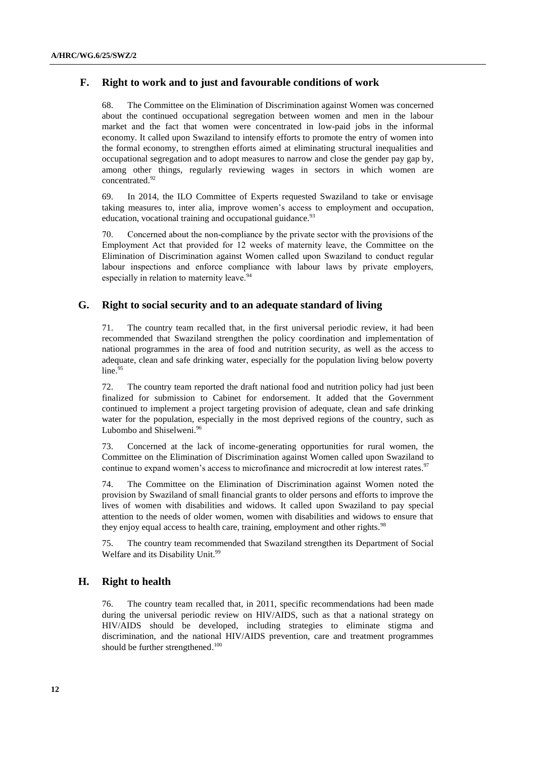### **F. Right to work and to just and favourable conditions of work**

68. The Committee on the Elimination of Discrimination against Women was concerned about the continued occupational segregation between women and men in the labour market and the fact that women were concentrated in low-paid jobs in the informal economy. It called upon Swaziland to intensify efforts to promote the entry of women into the formal economy, to strengthen efforts aimed at eliminating structural inequalities and occupational segregation and to adopt measures to narrow and close the gender pay gap by, among other things, regularly reviewing wages in sectors in which women are concentrated.<sup>92</sup>

69. In 2014, the ILO Committee of Experts requested Swaziland to take or envisage taking measures to, inter alia, improve women's access to employment and occupation, education, vocational training and occupational guidance.<sup>93</sup>

70. Concerned about the non-compliance by the private sector with the provisions of the Employment Act that provided for 12 weeks of maternity leave, the Committee on the Elimination of Discrimination against Women called upon Swaziland to conduct regular labour inspections and enforce compliance with labour laws by private employers, especially in relation to maternity leave.<sup>94</sup>

#### **G. Right to social security and to an adequate standard of living**

71. The country team recalled that, in the first universal periodic review, it had been recommended that Swaziland strengthen the policy coordination and implementation of national programmes in the area of food and nutrition security, as well as the access to adequate, clean and safe drinking water, especially for the population living below poverty  $line<sup>95</sup>$ 

72. The country team reported the draft national food and nutrition policy had just been finalized for submission to Cabinet for endorsement. It added that the Government continued to implement a project targeting provision of adequate, clean and safe drinking water for the population, especially in the most deprived regions of the country, such as Lubombo and Shiselweni.<sup>96</sup>

73. Concerned at the lack of income-generating opportunities for rural women, the Committee on the Elimination of Discrimination against Women called upon Swaziland to continue to expand women's access to microfinance and microcredit at low interest rates.<sup>97</sup>

74. The Committee on the Elimination of Discrimination against Women noted the provision by Swaziland of small financial grants to older persons and efforts to improve the lives of women with disabilities and widows. It called upon Swaziland to pay special attention to the needs of older women, women with disabilities and widows to ensure that they enjoy equal access to health care, training, employment and other rights.<sup>98</sup>

75. The country team recommended that Swaziland strengthen its Department of Social Welfare and its Disability Unit.<sup>99</sup>

#### **H. Right to health**

76. The country team recalled that, in 2011, specific recommendations had been made during the universal periodic review on HIV/AIDS, such as that a national strategy on HIV/AIDS should be developed, including strategies to eliminate stigma and discrimination, and the national HIV/AIDS prevention, care and treatment programmes should be further strengthened.<sup>100</sup>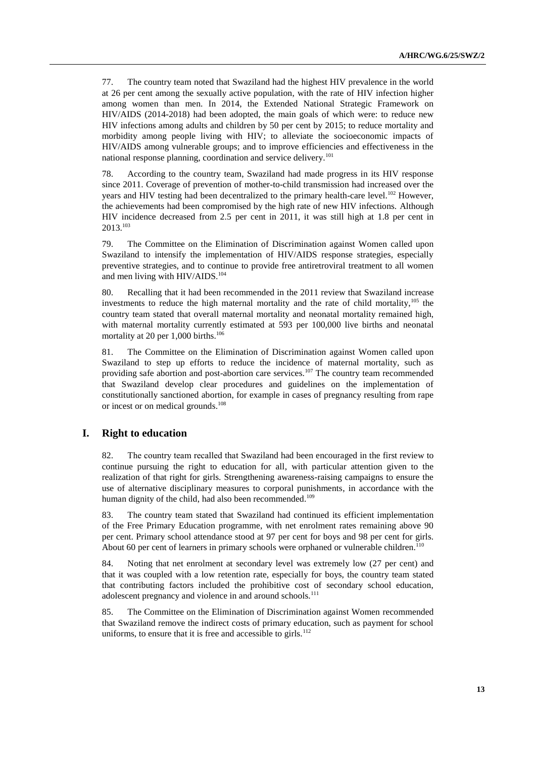77. The country team noted that Swaziland had the highest HIV prevalence in the world at 26 per cent among the sexually active population, with the rate of HIV infection higher among women than men. In 2014, the Extended National Strategic Framework on HIV/AIDS (2014-2018) had been adopted, the main goals of which were: to reduce new HIV infections among adults and children by 50 per cent by 2015; to reduce mortality and morbidity among people living with HIV; to alleviate the socioeconomic impacts of HIV/AIDS among vulnerable groups; and to improve efficiencies and effectiveness in the national response planning, coordination and service delivery.<sup>101</sup>

78. According to the country team, Swaziland had made progress in its HIV response since 2011. Coverage of prevention of mother-to-child transmission had increased over the years and HIV testing had been decentralized to the primary health-care level.<sup>102</sup> However, the achievements had been compromised by the high rate of new HIV infections. Although HIV incidence decreased from 2.5 per cent in 2011, it was still high at 1.8 per cent in 2013.<sup>103</sup>

79. The Committee on the Elimination of Discrimination against Women called upon Swaziland to intensify the implementation of HIV/AIDS response strategies, especially preventive strategies, and to continue to provide free antiretroviral treatment to all women and men living with HIV/AIDS.<sup>104</sup>

80. Recalling that it had been recommended in the 2011 review that Swaziland increase investments to reduce the high maternal mortality and the rate of child mortality, $105$  the country team stated that overall maternal mortality and neonatal mortality remained high, with maternal mortality currently estimated at 593 per 100,000 live births and neonatal mortality at 20 per 1,000 births.<sup>106</sup>

81. The Committee on the Elimination of Discrimination against Women called upon Swaziland to step up efforts to reduce the incidence of maternal mortality, such as providing safe abortion and post-abortion care services.<sup>107</sup> The country team recommended that Swaziland develop clear procedures and guidelines on the implementation of constitutionally sanctioned abortion, for example in cases of pregnancy resulting from rape or incest or on medical grounds. 108

#### **I. Right to education**

82. The country team recalled that Swaziland had been encouraged in the first review to continue pursuing the right to education for all, with particular attention given to the realization of that right for girls. Strengthening awareness-raising campaigns to ensure the use of alternative disciplinary measures to corporal punishments, in accordance with the human dignity of the child, had also been recommended.<sup>109</sup>

83. The country team stated that Swaziland had continued its efficient implementation of the Free Primary Education programme, with net enrolment rates remaining above 90 per cent. Primary school attendance stood at 97 per cent for boys and 98 per cent for girls. About 60 per cent of learners in primary schools were orphaned or vulnerable children.<sup>110</sup>

84. Noting that net enrolment at secondary level was extremely low (27 per cent) and that it was coupled with a low retention rate, especially for boys, the country team stated that contributing factors included the prohibitive cost of secondary school education, adolescent pregnancy and violence in and around schools.<sup>111</sup>

85. The Committee on the Elimination of Discrimination against Women recommended that Swaziland remove the indirect costs of primary education, such as payment for school uniforms, to ensure that it is free and accessible to girls.<sup>112</sup>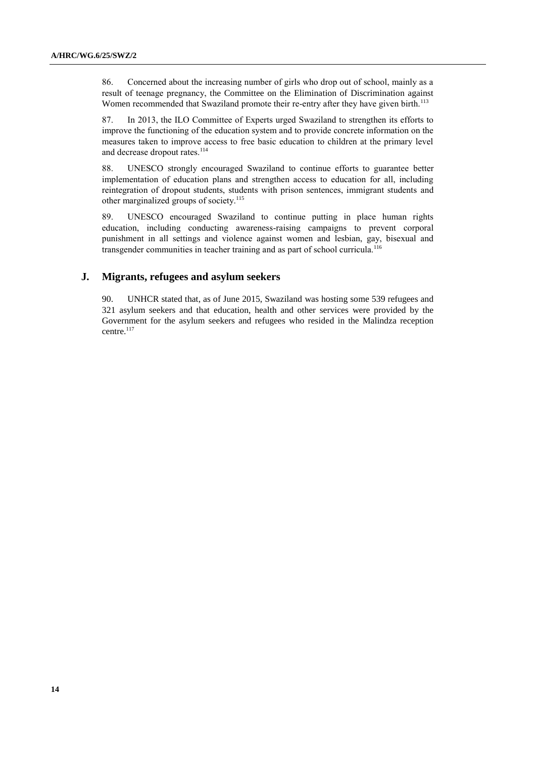86. Concerned about the increasing number of girls who drop out of school, mainly as a result of teenage pregnancy, the Committee on the Elimination of Discrimination against Women recommended that Swaziland promote their re-entry after they have given birth.<sup>113</sup>

87. In 2013, the ILO Committee of Experts urged Swaziland to strengthen its efforts to improve the functioning of the education system and to provide concrete information on the measures taken to improve access to free basic education to children at the primary level and decrease dropout rates.<sup>114</sup>

88. UNESCO strongly encouraged Swaziland to continue efforts to guarantee better implementation of education plans and strengthen access to education for all, including reintegration of dropout students, students with prison sentences, immigrant students and other marginalized groups of society.<sup>115</sup>

89. UNESCO encouraged Swaziland to continue putting in place human rights education, including conducting awareness-raising campaigns to prevent corporal punishment in all settings and violence against women and lesbian, gay, bisexual and transgender communities in teacher training and as part of school curricula.<sup>116</sup>

### **J. Migrants, refugees and asylum seekers**

90. UNHCR stated that, as of June 2015, Swaziland was hosting some 539 refugees and 321 asylum seekers and that education, health and other services were provided by the Government for the asylum seekers and refugees who resided in the Malindza reception centre.<sup>117</sup>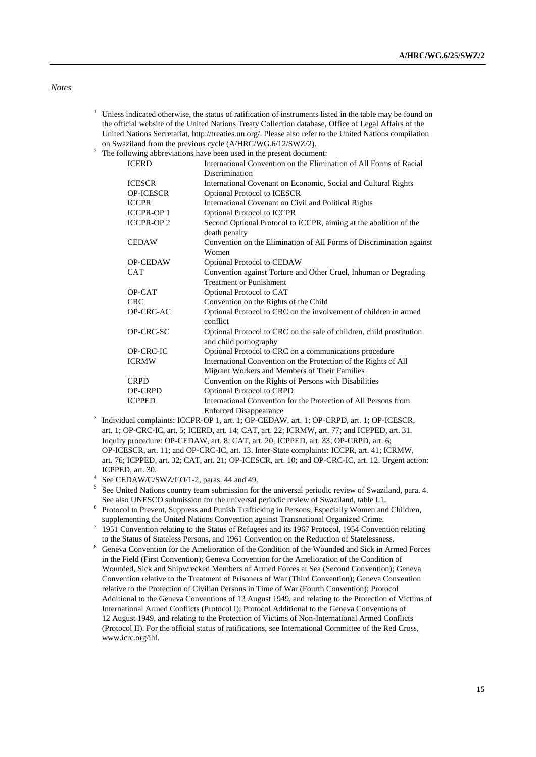#### *Notes*

- $1$  Unless indicated otherwise, the status of ratification of instruments listed in the table may be found on the official website of the United Nations Treaty Collection database, Office of Legal Affairs of the United Nations Secretariat, [http://treaties.un.org/.](http://treaties.un.org/) Please also refer to the United Nations compilation on Swaziland from the previous cycle (A/HRC/WG.6/12/SWZ/2).
- <sup>2</sup> The following abbreviations have been used in the present document:

| <b>ICERD</b>     | International Convention on the Elimination of All Forms of Racial           |
|------------------|------------------------------------------------------------------------------|
|                  | Discrimination                                                               |
| <b>ICESCR</b>    | International Covenant on Economic, Social and Cultural Rights               |
| <b>OP-ICESCR</b> | <b>Optional Protocol to ICESCR</b>                                           |
| <b>ICCPR</b>     | International Covenant on Civil and Political Rights                         |
| <b>ICCPR-OP1</b> | <b>Optional Protocol to ICCPR</b>                                            |
| <b>ICCPR-OP2</b> | Second Optional Protocol to ICCPR, aiming at the abolition of the            |
|                  | death penalty                                                                |
| <b>CEDAW</b>     | Convention on the Elimination of All Forms of Discrimination against         |
|                  | Women                                                                        |
| <b>OP-CEDAW</b>  | <b>Optional Protocol to CEDAW</b>                                            |
| <b>CAT</b>       | Convention against Torture and Other Cruel, Inhuman or Degrading             |
|                  | <b>Treatment or Punishment</b>                                               |
| OP-CAT           | Optional Protocol to CAT                                                     |
| <b>CRC</b>       | Convention on the Rights of the Child                                        |
| <b>OP-CRC-AC</b> | Optional Protocol to CRC on the involvement of children in armed<br>conflict |
| OP-CRC-SC        | Optional Protocol to CRC on the sale of children, child prostitution         |
|                  | and child pornography                                                        |
| OP-CRC-IC        | Optional Protocol to CRC on a communications procedure                       |
| <b>ICRMW</b>     | International Convention on the Protection of the Rights of All              |
|                  | Migrant Workers and Members of Their Families                                |
| <b>CRPD</b>      | Convention on the Rights of Persons with Disabilities                        |
| <b>OP-CRPD</b>   | <b>Optional Protocol to CRPD</b>                                             |
| <b>ICPPED</b>    | International Convention for the Protection of All Persons from              |
|                  | <b>Enforced Disappearance</b>                                                |

- Enforced Disappearance<br>
<sup>3</sup> Individual complaints: ICCPR-OP 1, art. 1; OP-CEDAW, art. 1; OP-CRPD, art. 1; OP-ICESCR, art. 1; OP-CRC-IC, art. 5; ICERD, art. 14; CAT, art. 22; ICRMW, art. 77; and ICPPED, art. 31. Inquiry procedure: OP-CEDAW, art. 8; CAT, art. 20; ICPPED, art. 33; OP-CRPD, art. 6; OP-ICESCR, art. 11; and OP-CRC-IC, art. 13. Inter-State complaints: ICCPR, art. 41; ICRMW, art. 76; ICPPED, art. 32; CAT, art. 21; OP-ICESCR, art. 10; and OP-CRC-IC, art. 12. Urgent action: ICPPED, art. 30.
- 4 See CEDAW/C/SWZ/CO/1-2, paras. 44 and 49.
- 5 See United Nations country team submission for the universal periodic review of Swaziland, para. 4. See also UNESCO submission for the universal periodic review of Swaziland, table I.1.
- <sup>6</sup> Protocol to Prevent, Suppress and Punish Trafficking in Persons, Especially Women and Children, supplementing the United Nations Convention against Transnational Organized Crime.
- 7 1951 Convention relating to the Status of Refugees and its 1967 Protocol, 1954 Convention relating to the Status of Stateless Persons, and 1961 Convention on the Reduction of Statelessness.
- 8 Geneva Convention for the Amelioration of the Condition of the Wounded and Sick in Armed Forces in the Field (First Convention); Geneva Convention for the Amelioration of the Condition of Wounded, Sick and Shipwrecked Members of Armed Forces at Sea (Second Convention); Geneva Convention relative to the Treatment of Prisoners of War (Third Convention); Geneva Convention relative to the Protection of Civilian Persons in Time of War (Fourth Convention); Protocol Additional to the Geneva Conventions of 12 August 1949, and relating to the Protection of Victims of International Armed Conflicts (Protocol I); Protocol Additional to the Geneva Conventions of 12 August 1949, and relating to the Protection of Victims of Non-International Armed Conflicts (Protocol II). For the official status of ratifications, see International Committee of the Red Cross, www.icrc.org/ihl.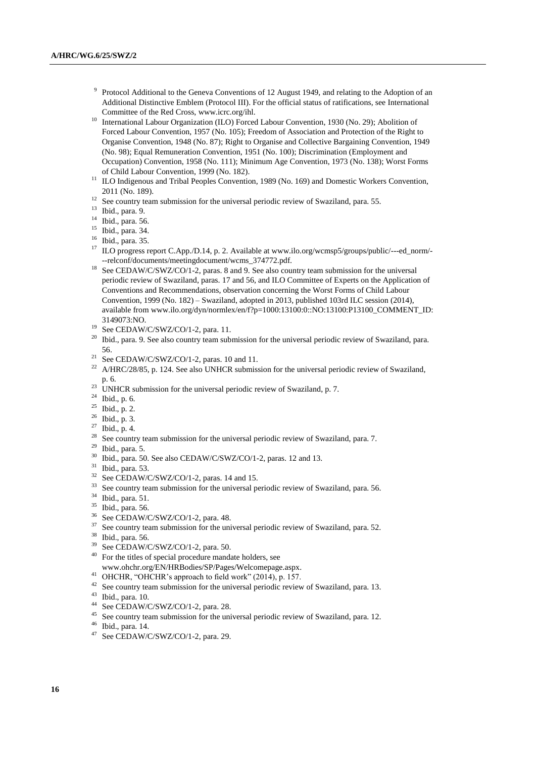- 9 Protocol Additional to the Geneva Conventions of 12 August 1949, and relating to the Adoption of an Additional Distinctive Emblem (Protocol III). For the official status of ratifications, see International Committee of the Red Cross, www.icrc.org/ihl.
- <sup>10</sup> International Labour Organization (ILO) Forced Labour Convention, 1930 (No. 29); Abolition of Forced Labour Convention, 1957 (No. 105); Freedom of Association and Protection of the Right to Organise Convention, 1948 (No. 87); Right to Organise and Collective Bargaining Convention, 1949 (No. 98); Equal Remuneration Convention, 1951 (No. 100); Discrimination (Employment and Occupation) Convention, 1958 (No. 111); Minimum Age Convention, 1973 (No. 138); Worst Forms of Child Labour Convention, 1999 (No. 182).
- <sup>11</sup> ILO Indigenous and Tribal Peoples Convention, 1989 (No. 169) and Domestic Workers Convention, 2011 (No. 189).
- <sup>12</sup> See country team submission for the universal periodic review of Swaziland, para. 55.
- <sup>13</sup> Ibid., para. 9.
- <sup>14</sup> Ibid., para. 56.
- <sup>15</sup> Ibid., para. 34.
- <sup>16</sup> Ibid., para. 35.
- <sup>17</sup> ILO progress report C.App./D.14, p. 2. Available at www.ilo.org/wcmsp5/groups/public/---ed\_norm/---relconf/documents/meetingdocument/wcms\_374772.pdf.
- <sup>18</sup> See CEDAW/C/SWZ/CO/1-2, paras. 8 and 9. See also country team submission for the universal periodic review of Swaziland, paras. 17 and 56, and ILO Committee of Experts on the Application of Conventions and Recommendations, observation concerning the Worst Forms of Child Labour Convention, 1999 (No. 182) – Swaziland, adopted in 2013, published 103rd ILC session (2014), available from www.ilo.org/dyn/normlex/en/f?p=1000:13100:0::NO:13100:P13100\_COMMENT\_ID: 3149073:NO.
- <sup>19</sup> See CEDAW/C/SWZ/CO/1-2, para. 11.
- <sup>20</sup> Ibid., para. 9. See also country team submission for the universal periodic review of Swaziland, para. 56.
- <sup>21</sup> See CEDAW/C/SWZ/CO/1-2, paras. 10 and 11.<br><sup>22</sup> A/HBC/28/85, p. 124. See also UNHCP submiss
- <sup>22</sup> A/HRC/28/85, p. 124. See also UNHCR submission for the universal periodic review of Swaziland, p. 6.
- <sup>23</sup> UNHCR submission for the universal periodic review of Swaziland, p. 7.
- $^{24}$  Ibid., p. 6.<br> $^{25}$  Ibid. p. 2.
- Ibid., p. 2.
- <sup>26</sup> Ibid., p. 3.
- $\frac{27}{28}$  Ibid., p. 4.
- See country team submission for the universal periodic review of Swaziland, para. 7.
- <sup>29</sup> Ibid., para. 5.
- <sup>30</sup> Ibid., para. 50. See also CEDAW/C/SWZ/CO/1-2, paras. 12 and 13.
- <sup>31</sup> Ibid., para. 53.
- $32$  See CEDAW/C/SWZ/CO/1-2, paras. 14 and 15.
- $33$  See country team submission for the universal periodic review of Swaziland, para. 56.
- <sup>34</sup> Ibid., para. 51.
- <sup>35</sup> Ibid., para. 56.
- $36$  See CEDAW/C/SWZ/CO/1-2, para. 48.
- See country team submission for the universal periodic review of Swaziland, para. 52.
- <sup>38</sup> Ibid., para. 56.
- $39$  See CEDAW/C/SWZ/CO/1-2, para. 50.
- For the titles of special procedure mandate holders, see www.ohchr.org/EN/HRBodies/SP/Pages/Welcomepage.aspx.
- <sup>41</sup> OHCHR, "OHCHR's approach to field work" (2014), p. 157.
- <sup>42</sup> See country team submission for the universal periodic review of Swaziland, para. 13.
- $^{43}$  Ibid., para. 10.
- <sup>44</sup> See CEDAW/C/SWZ/CO/1-2, para. 28.
- <sup>45</sup> See country team submission for the universal periodic review of Swaziland, para. 12.<br><sup>46</sup> Ibid. para. <sup>14</sup>
- $^{46}$  Ibid., para. 14.
- See CEDAW/C/SWZ/CO/1-2, para. 29.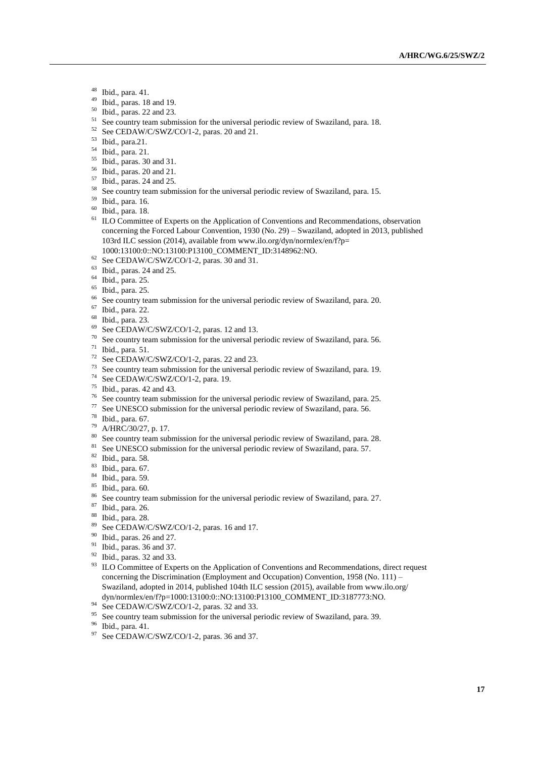- $^{48}$  Ibid., para. 41.
- $^{49}$  Ibid., paras. 18 and 19.
- $^{50}$  Ibid., paras. 22 and 23.
- <sup>51</sup> See country team submission for the universal periodic review of Swaziland, para. 18.<br><sup>52</sup> See CEDAW/C/SW7/CO/1.2, paras. 20 and 21.
- See CEDAW/C/SWZ/CO/1-2, paras. 20 and 21.
- <sup>53</sup> Ibid., para.21.
- $^{54}$  Ibid., para. 21.
- <sup>55</sup> Ibid., paras. 30 and 31.
- <sup>56</sup> Ibid., paras. 20 and 21.
- <sup>57</sup> Ibid., paras. 24 and 25.
- <sup>58</sup> See country team submission for the universal periodic review of Swaziland, para. 15.
- <sup>59</sup> Ibid., para. 16.
- <sup>60</sup> Ibid., para. 18.
- <sup>61</sup> ILO Committee of Experts on the Application of Conventions and Recommendations, observation concerning the Forced Labour Convention, 1930 (No. 29) – Swaziland, adopted in 2013, published 103rd ILC session (2014), available from www.ilo.org/dyn/normlex/en/f?p= 1000:13100:0::NO:13100:P13100\_COMMENT\_ID:3148962:NO.
- $^{62}$  See CEDAW/C/SWZ/CO/1-2, paras. 30 and 31.
- <sup>63</sup> Ibid., paras. 24 and 25.
- <sup>64</sup> Ibid., para. 25.
- <sup>65</sup> Ibid., para. 25.
- <sup>66</sup> See country team submission for the universal periodic review of Swaziland, para. 20.
- $^{67}$  Ibid., para. 22.
- $^{68}$  Ibid., para. 23.
- $^{69}$  See CEDAW/C/SWZ/CO/1-2, paras. 12 and 13.<br><sup>70</sup> See country team submission for the universal parallel
- <sup>70</sup> See country team submission for the universal periodic review of Swaziland, para. 56.<br><sup>71</sup> Ibid. para. 51
- $\frac{71}{72}$  Ibid., para. 51.
- <sup>72</sup> See CEDAW/C/SWZ/CO/1-2, paras. 22 and 23.<br><sup>73</sup> See country team submission for the universal parallel
- <sup>73</sup> See country team submission for the universal periodic review of Swaziland, para. 19.<br><sup>74</sup> See CEDAW/C/SW7/CO/1.2, para. 10.
- See CEDAW/C/SWZ/CO/1-2, para. 19.
- $75$  Ibid., paras. 42 and 43.
- <sup>76</sup> See country team submission for the universal periodic review of Swaziland, para. 25.<br><sup>77</sup> See UNESCO submission for the universal periodic rayion of Swaziland, para. 56
- See UNESCO submission for the universal periodic review of Swaziland, para. 56.
- <sup>78</sup> Ibid., para. 67.
- <sup>79</sup> A/HRC/30/27, p. 17.
- <sup>80</sup> See country team submission for the universal periodic review of Swaziland, para. 28.
- <sup>81</sup> See UNESCO submission for the universal periodic review of Swaziland, para. 57.
- <sup>82</sup> Ibid., para. 58.
- <sup>83</sup> Ibid., para. 67.
- <sup>84</sup> Ibid., para. 59.
- <sup>85</sup> Ibid., para. 60.
- <sup>86</sup> See country team submission for the universal periodic review of Swaziland, para. 27.
- <sup>87</sup> Ibid., para. 26.
- $\frac{88}{89}$  Ibid., para. 28.
- See CEDAW/C/SWZ/CO/1-2, paras. 16 and 17.
- <sup>90</sup> Ibid., paras. 26 and 27.
- $91$  Ibid., paras. 36 and 37.
- $^{92}$  Ibid., paras. 32 and 33.
- ILO Committee of Experts on the Application of Conventions and Recommendations, direct request concerning the Discrimination (Employment and Occupation) Convention, 1958 (No. 111) – Swaziland, adopted in 2014, published 104th ILC session (2015), available from www.ilo.org/ dyn/normlex/en/f?p=1000:13100:0::NO:13100:P13100\_COMMENT\_ID:3187773:NO.
- <sup>94</sup> See CEDAW/C/SWZ/CO/1-2, paras. 32 and 33.<br><sup>95</sup> See construction inheritation for the universal p
- See country team submission for the universal periodic review of Swaziland, para. 39.
- $\frac{96}{97}$  Ibid., para. 41.
- See CEDAW/C/SWZ/CO/1-2, paras. 36 and 37.